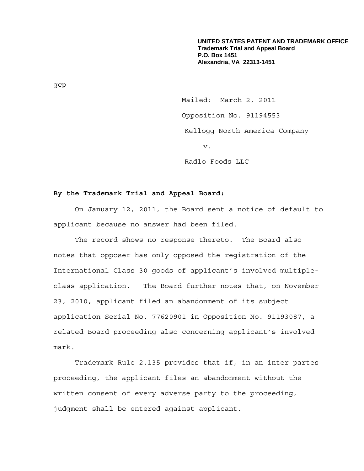**UNITED STATES PATENT AND TRADEMARK OFFICE Trademark Trial and Appeal Board P.O. Box 1451 Alexandria, VA 22313-1451**

Mailed: March 2, 2011 Opposition No. 91194553 Kellogg North America Company v.

Radlo Foods LLC

## **By the Trademark Trial and Appeal Board:**

 On January 12, 2011, the Board sent a notice of default to applicant because no answer had been filed.

 The record shows no response thereto. The Board also notes that opposer has only opposed the registration of the International Class 30 goods of applicant's involved multipleclass application. The Board further notes that, on November 23, 2010, applicant filed an abandonment of its subject application Serial No. 77620901 in Opposition No. 91193087, a related Board proceeding also concerning applicant's involved mark.

 Trademark Rule 2.135 provides that if, in an inter partes proceeding, the applicant files an abandonment without the written consent of every adverse party to the proceeding, judgment shall be entered against applicant.

gcp